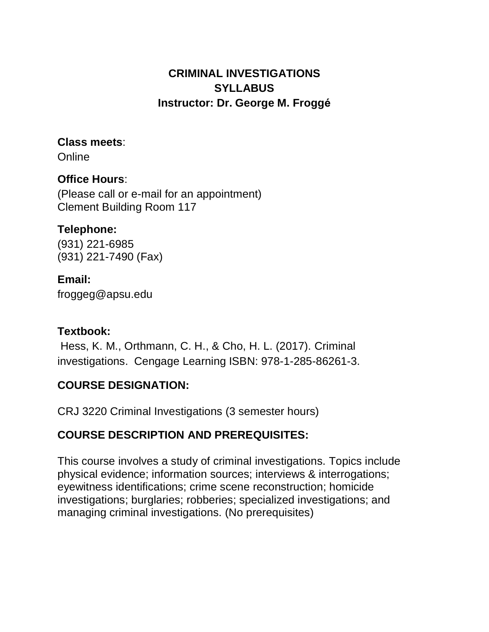# **CRIMINAL INVESTIGATIONS SYLLABUS Instructor: Dr. George M. Froggé**

#### **Class meets**:

**Online** 

# **Office Hours**:

(Please call or e-mail for an appointment) Clement Building Room 117

## **Telephone:**

(931) 221-6985 (931) 221-7490 (Fax)

## **Email:**

[froggeg@apsu.edu](mailto:froggeg@apsu.edu)

### **Textbook:**

Hess, K. M., Orthmann, C. H., & Cho, H. L. (2017). Criminal investigations. Cengage Learning ISBN: 978-1-285-86261-3.

# **COURSE DESIGNATION:**

CRJ 3220 Criminal Investigations (3 semester hours)

# **COURSE DESCRIPTION AND PREREQUISITES:**

This course involves a study of criminal investigations. Topics include physical evidence; information sources; interviews & interrogations; eyewitness identifications; crime scene reconstruction; homicide investigations; burglaries; robberies; specialized investigations; and managing criminal investigations. (No prerequisites)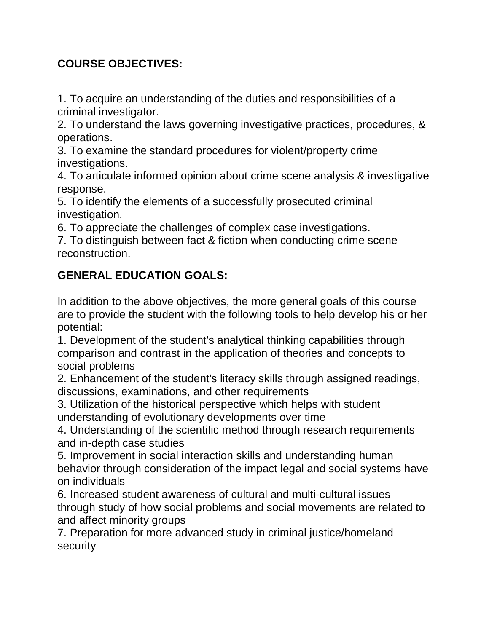# **COURSE OBJECTIVES:**

1. To acquire an understanding of the duties and responsibilities of a criminal investigator.

2. To understand the laws governing investigative practices, procedures, & operations.

3. To examine the standard procedures for violent/property crime investigations.

4. To articulate informed opinion about crime scene analysis & investigative response.

5. To identify the elements of a successfully prosecuted criminal investigation.

6. To appreciate the challenges of complex case investigations.

7. To distinguish between fact & fiction when conducting crime scene reconstruction.

# **GENERAL EDUCATION GOALS:**

In addition to the above objectives, the more general goals of this course are to provide the student with the following tools to help develop his or her potential:

1. Development of the student's analytical thinking capabilities through comparison and contrast in the application of theories and concepts to social problems

2. Enhancement of the student's literacy skills through assigned readings, discussions, examinations, and other requirements

3. Utilization of the historical perspective which helps with student understanding of evolutionary developments over time

4. Understanding of the scientific method through research requirements and in-depth case studies

5. Improvement in social interaction skills and understanding human behavior through consideration of the impact legal and social systems have on individuals

6. Increased student awareness of cultural and multi-cultural issues through study of how social problems and social movements are related to and affect minority groups

7. Preparation for more advanced study in criminal justice/homeland security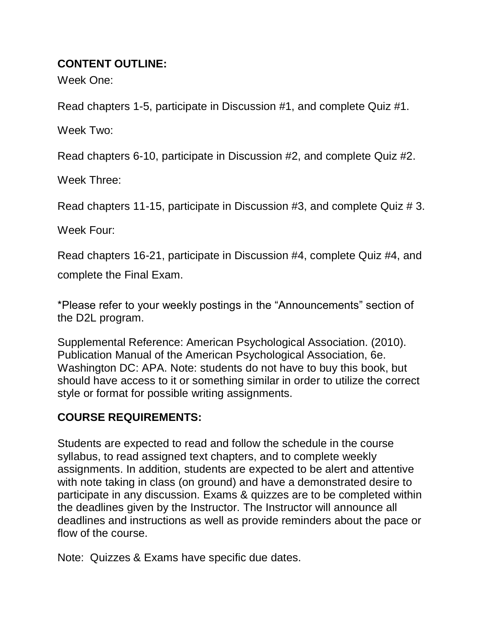#### **CONTENT OUTLINE:**

Week One:

Read chapters 1-5, participate in Discussion #1, and complete Quiz #1.

Week Two:

Read chapters 6-10, participate in Discussion #2, and complete Quiz #2.

Week Three:

Read chapters 11-15, participate in Discussion #3, and complete Quiz # 3.

Week Four:

Read chapters 16-21, participate in Discussion #4, complete Quiz #4, and

complete the Final Exam.

\*Please refer to your weekly postings in the "Announcements" section of the D2L program.

Supplemental Reference: American Psychological Association. (2010). Publication Manual of the American Psychological Association, 6e. Washington DC: APA. Note: students do not have to buy this book, but should have access to it or something similar in order to utilize the correct style or format for possible writing assignments.

# **COURSE REQUIREMENTS:**

Students are expected to read and follow the schedule in the course syllabus, to read assigned text chapters, and to complete weekly assignments. In addition, students are expected to be alert and attentive with note taking in class (on ground) and have a demonstrated desire to participate in any discussion. Exams & quizzes are to be completed within the deadlines given by the Instructor. The Instructor will announce all deadlines and instructions as well as provide reminders about the pace or flow of the course.

Note: Quizzes & Exams have specific due dates.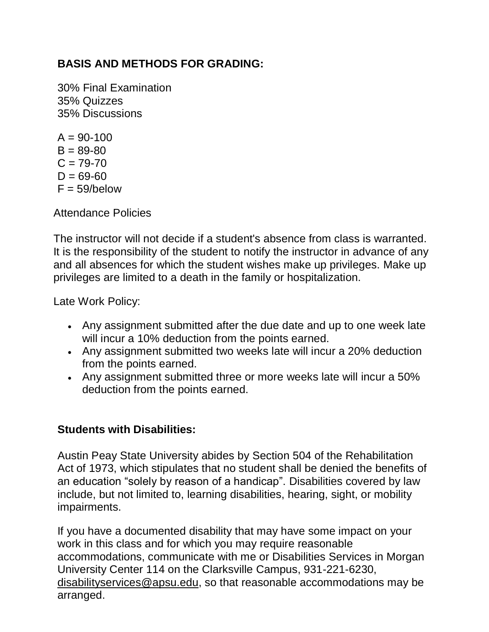## **BASIS AND METHODS FOR GRADING:**

30% Final Examination 35% Quizzes 35% Discussions

 $A = 90-100$  $B = 89 - 80$  $C = 79 - 70$  $D = 69 - 60$  $F = 59/helow$ 

Attendance Policies

The instructor will not decide if a student's absence from class is warranted. It is the responsibility of the student to notify the instructor in advance of any and all absences for which the student wishes make up privileges. Make up privileges are limited to a death in the family or hospitalization.

Late Work Policy:

- Any assignment submitted after the due date and up to one week late will incur a 10% deduction from the points earned.
- Any assignment submitted two weeks late will incur a 20% deduction from the points earned.
- Any assignment submitted three or more weeks late will incur a 50% deduction from the points earned.

### **Students with Disabilities:**

Austin Peay State University abides by Section 504 of the Rehabilitation Act of 1973, which stipulates that no student shall be denied the benefits of an education "solely by reason of a handicap". Disabilities covered by law include, but not limited to, learning disabilities, hearing, sight, or mobility impairments.

If you have a documented disability that may have some impact on your work in this class and for which you may require reasonable accommodations, communicate with me or Disabilities Services in Morgan University Center 114 on the Clarksville Campus, 931-221-6230, [disabilityservices@apsu.edu,](mailto:disabilityservices@apsu.edu) so that reasonable accommodations may be arranged.